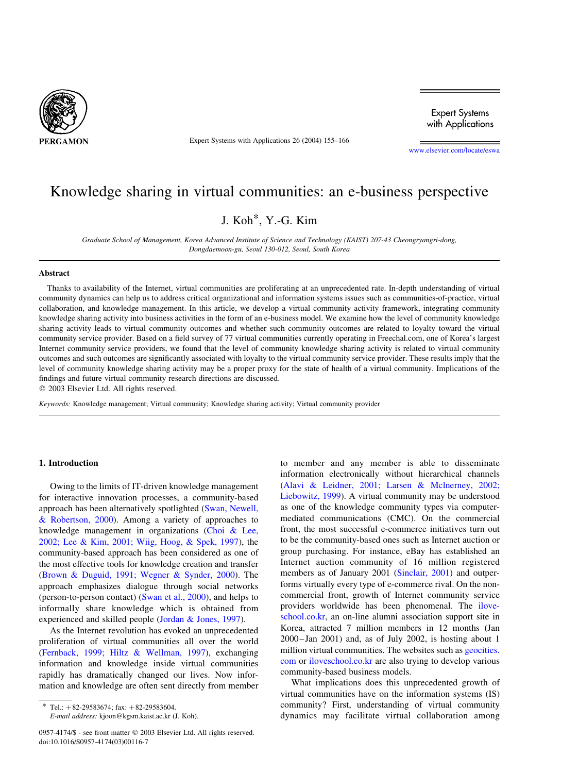

Expert Systems with Applications 26 (2004) 155–166

**Expert Systems** with Applications

[www.elsevier.com/locate/eswa](http://www.elsevier.com/locate/eswa)

# Knowledge sharing in virtual communities: an e-business perspective

## J. Koh\*, Y.-G. Kim

Graduate School of Management, Korea Advanced Institute of Science and Technology (KAIST) 207-43 Cheongryangri-dong, Dongdaemoon-gu, Seoul 130-012, Seoul, South Korea

### Abstract

Thanks to availability of the Internet, virtual communities are proliferating at an unprecedented rate. In-depth understanding of virtual community dynamics can help us to address critical organizational and information systems issues such as communities-of-practice, virtual collaboration, and knowledge management. In this article, we develop a virtual community activity framework, integrating community knowledge sharing activity into business activities in the form of an e-business model. We examine how the level of community knowledge sharing activity leads to virtual community outcomes and whether such community outcomes are related to loyalty toward the virtual community service provider. Based on a field survey of 77 virtual communities currently operating in Freechal.com, one of Korea's largest Internet community service providers, we found that the level of community knowledge sharing activity is related to virtual community outcomes and such outcomes are significantly associated with loyalty to the virtual community service provider. These results imply that the level of community knowledge sharing activity may be a proper proxy for the state of health of a virtual community. Implications of the findings and future virtual community research directions are discussed.

 $© 2003 Elsevier Ltd. All rights reserved.$ 

Keywords: Knowledge management; Virtual community; Knowledge sharing activity; Virtual community provider

#### 1. Introduction

Owing to the limits of IT-driven knowledge management for interactive innovation processes, a community-based approach has been alternatively spotlighted ([Swan, Newell,](#page--1-0) [& Robertson, 2000](#page--1-0)). Among a variety of approaches to knowledge management in organizations [\(Choi & Lee,](#page--1-0) [2002; Lee & Kim, 2001; Wiig, Hoog, & Spek, 1997](#page--1-0)), the community-based approach has been considered as one of the most effective tools for knowledge creation and transfer ([Brown & Duguid, 1991; Wegner & Synder, 2000\)](#page--1-0). The approach emphasizes dialogue through social networks (person-to-person contact) ([Swan et al., 2000](#page--1-0)), and helps to informally share knowledge which is obtained from experienced and skilled people [\(Jordan & Jones, 1997](#page--1-0)).

As the Internet revolution has evoked an unprecedented proliferation of virtual communities all over the world ([Fernback, 1999; Hiltz & Wellman, 1997\)](#page--1-0), exchanging information and knowledge inside virtual communities rapidly has dramatically changed our lives. Now information and knowledge are often sent directly from member

E-mail address: kjoon@kgsm.kaist.ac.kr (J. Koh).

to member and any member is able to disseminate information electronically without hierarchical channels ([Alavi & Leidner, 2001; Larsen & Mclnerney, 2002;](#page--1-0) [Liebowitz, 1999\)](#page--1-0). A virtual community may be understood as one of the knowledge community types via computermediated communications (CMC). On the commercial front, the most successful e-commerce initiatives turn out to be the community-based ones such as Internet auction or group purchasing. For instance, eBay has established an Internet auction community of 16 million registered members as of January 2001 ([Sinclair, 2001](#page--1-0)) and outperforms virtually every type of e-commerce rival. On the noncommercial front, growth of Internet community service providers worldwide has been phenomenal. The [ilove](http://iloveschool.co.kr)[school.co.kr](http://iloveschool.co.kr), an on-line alumni association support site in Korea, attracted 7 million members in 12 months (Jan 2000–Jan 2001) and, as of July 2002, is hosting about 1 million virtual communities. The websites such as [geocities.](http://geocities.com) [com](http://geocities.com) or [iloveschool.co.kr](http://iloveschool.co.kr) are also trying to develop various community-based business models.

What implications does this unprecedented growth of virtual communities have on the information systems (IS) community? First, understanding of virtual community dynamics may facilitate virtual collaboration among

Tel.:  $+ 82-29583674$ ; fax:  $+ 82-29583604$ .

<sup>0957-4174/\$ -</sup> see front matter © 2003 Elsevier Ltd. All rights reserved. doi:10.1016/S0957-4174(03)00116-7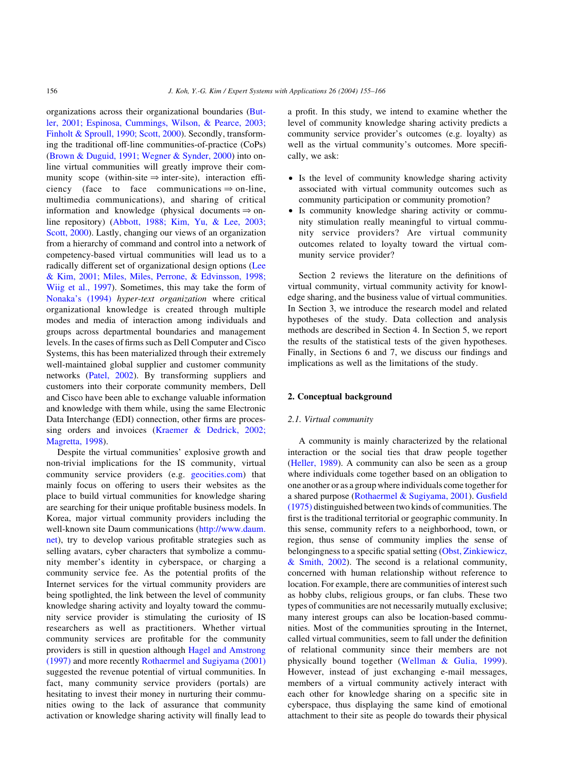organizations across their organizational boundaries ([But](#page--1-0)[ler, 2001; Espinosa, Cummings, Wilson, & Pearce, 2003;](#page--1-0) [Finholt & Sproull, 1990; Scott, 2000](#page--1-0)). Secondly, transforming the traditional off-line communities-of-practice (CoPs) ([Brown & Duguid, 1991; Wegner & Synder, 2000](#page--1-0)) into online virtual communities will greatly improve their community scope (within-site  $\Rightarrow$  inter-site), interaction efficiency (face to face communications  $\Rightarrow$  on-line, multimedia communications), and sharing of critical information and knowledge (physical documents  $\Rightarrow$  online repository) [\(Abbott, 1988; Kim, Yu, & Lee, 2003;](#page--1-0) [Scott, 2000](#page--1-0)). Lastly, changing our views of an organization from a hierarchy of command and control into a network of competency-based virtual communities will lead us to a radically different set of organizational design options ([Lee](#page--1-0) [& Kim, 2001; Miles, Miles, Perrone, & Edvinsson, 1998;](#page--1-0) [Wiig et al., 1997\)](#page--1-0). Sometimes, this may take the form of [Nonaka's \(1994\)](#page--1-0) hyper-text organization where critical organizational knowledge is created through multiple modes and media of interaction among individuals and groups across departmental boundaries and management levels. In the cases of firms such as Dell Computer and Cisco Systems, this has been materialized through their extremely well-maintained global supplier and customer community networks ([Patel, 2002](#page--1-0)). By transforming suppliers and customers into their corporate community members, Dell and Cisco have been able to exchange valuable information and knowledge with them while, using the same Electronic Data Interchange (EDI) connection, other firms are processing orders and invoices ([Kraemer & Dedrick, 2002;](#page--1-0) [Magretta, 1998](#page--1-0)).

Despite the virtual communities' explosive growth and non-trivial implications for the IS community, virtual community service providers (e.g. [geocities.com\)](http://geocities.com) that mainly focus on offering to users their websites as the place to build virtual communities for knowledge sharing are searching for their unique profitable business models. In Korea, major virtual community providers including the well-known site Daum communications ([http://www.daum.](http://www.daum.net) [net\)](http://www.daum.net), try to develop various profitable strategies such as selling avatars, cyber characters that symbolize a community member's identity in cyberspace, or charging a community service fee. As the potential profits of the Internet services for the virtual community providers are being spotlighted, the link between the level of community knowledge sharing activity and loyalty toward the community service provider is stimulating the curiosity of IS researchers as well as practitioners. Whether virtual community services are profitable for the community providers is still in question although [Hagel and Amstrong](#page--1-0) [\(1997\)](#page--1-0) and more recently [Rothaermel and Sugiyama \(2001\)](#page--1-0) suggested the revenue potential of virtual communities. In fact, many community service providers (portals) are hesitating to invest their money in nurturing their communities owing to the lack of assurance that community activation or knowledge sharing activity will finally lead to

a profit. In this study, we intend to examine whether the level of community knowledge sharing activity predicts a community service provider's outcomes (e.g. loyalty) as well as the virtual community's outcomes. More specifically, we ask:

- Is the level of community knowledge sharing activity associated with virtual community outcomes such as community participation or community promotion?
- Is community knowledge sharing activity or community stimulation really meaningful to virtual community service providers? Are virtual community outcomes related to loyalty toward the virtual community service provider?

Section 2 reviews the literature on the definitions of virtual community, virtual community activity for knowledge sharing, and the business value of virtual communities. In Section 3, we introduce the research model and related hypotheses of the study. Data collection and analysis methods are described in Section 4. In Section 5, we report the results of the statistical tests of the given hypotheses. Finally, in Sections 6 and 7, we discuss our findings and implications as well as the limitations of the study.

### 2. Conceptual background

#### 2.1. Virtual community

A community is mainly characterized by the relational interaction or the social ties that draw people together ([Heller, 1989](#page--1-0)). A community can also be seen as a group where individuals come together based on an obligation to one another or as a group where individuals come together for a shared purpose [\(Rothaermel & Sugiyama, 2001\)](#page--1-0). [Gusfield](#page--1-0) [\(1975\)](#page--1-0) distinguished between two kinds of communities. The first is the traditional territorial or geographic community. In this sense, community refers to a neighborhood, town, or region, thus sense of community implies the sense of belongingness to a specific spatial setting ([Obst, Zinkiewicz,](#page--1-0) [& Smith, 2002](#page--1-0)). The second is a relational community, concerned with human relationship without reference to location. For example, there are communities of interest such as hobby clubs, religious groups, or fan clubs. These two types of communities are not necessarily mutually exclusive; many interest groups can also be location-based communities. Most of the communities sprouting in the Internet, called virtual communities, seem to fall under the definition of relational community since their members are not physically bound together ([Wellman & Gulia, 1999\)](#page--1-0). However, instead of just exchanging e-mail messages, members of a virtual community actively interact with each other for knowledge sharing on a specific site in cyberspace, thus displaying the same kind of emotional attachment to their site as people do towards their physical